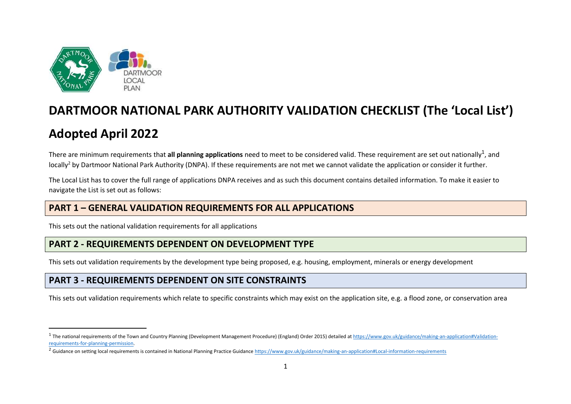

# **DARTMOOR NATIONAL PARK AUTHORITY VALIDATION CHECKLIST (The 'Local List')**

# **Adopted April 2022**

There are minimum requirements that **all planning applications** need to meet to be considered valid. These requirement are set out nationally<sup>1</sup>, and locally<sup>2</sup> by Dartmoor National Park Authority (DNPA). If these requirements are not met we cannot validate the application or consider it further.

The Local List has to cover the full range of applications DNPA receives and as such this document contains detailed information. To make it easier to navigate the List is set out as follows:

### **PART 1 – GENERAL VALIDATION REQUIREMENTS FOR ALL APPLICATIONS**

This sets out the national validation requirements for all applications

# **PART 2 - REQUIREMENTS DEPENDENT ON DEVELOPMENT TYPE**

This sets out validation requirements by the development type being proposed, e.g. housing, employment, minerals or energy development

## **PART 3 - REQUIREMENTS DEPENDENT ON SITE CONSTRAINTS**

This sets out validation requirements which relate to specific constraints which may exist on the application site, e.g. a flood zone, or conservation area

<sup>&</sup>lt;sup>1</sup> The national requirements of the Town and Country Planning (Development Management Procedure) (England) Order 2015) detailed at [https://www.gov.uk/guidance/making-an-application#Validation](https://www.gov.uk/guidance/making-an-application#Validation-requirements-for-planning-permission)[requirements-for-planning-permission.](https://www.gov.uk/guidance/making-an-application#Validation-requirements-for-planning-permission)

<sup>&</sup>lt;sup>2</sup> Guidance on setting local requirements is contained in National Planning Practice Guidance<https://www.gov.uk/guidance/making-an-application#Local-information-requirements>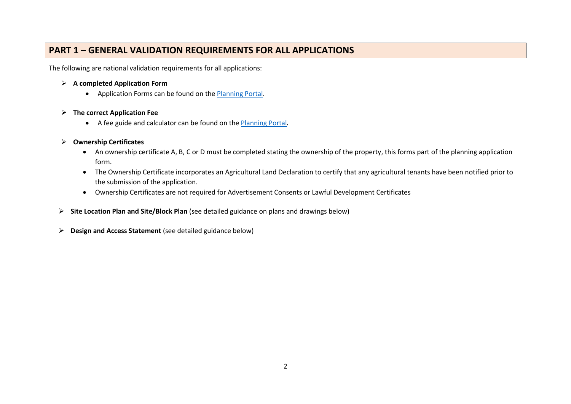## **PART 1 – GENERAL VALIDATION REQUIREMENTS FOR ALL APPLICATIONS**

The following are national validation requirements for all applications:

#### ➢ **A completed Application Form**

• Application Forms can be found on the [Planning Portal.](https://www.planningportal.co.uk/applications)

#### ➢ **The correct Application Fee**

• A fee guide and calculator can be found on the [Planning Portal](https://www.planningportal.co.uk/applications)*.*

#### ➢ **Ownership Certificates**

- An ownership certificate A, B, C or D must be completed stating the ownership of the property, this forms part of the planning application form.
- The Ownership Certificate incorporates an Agricultural Land Declaration to certify that any agricultural tenants have been notified prior to the submission of the application.
- Ownership Certificates are not required for Advertisement Consents or Lawful Development Certificates
- ➢ **Site Location Plan and Site/Block Plan** (see detailed guidance on plans and drawings below)
- ➢ **Design and Access Statement** (see detailed guidance below)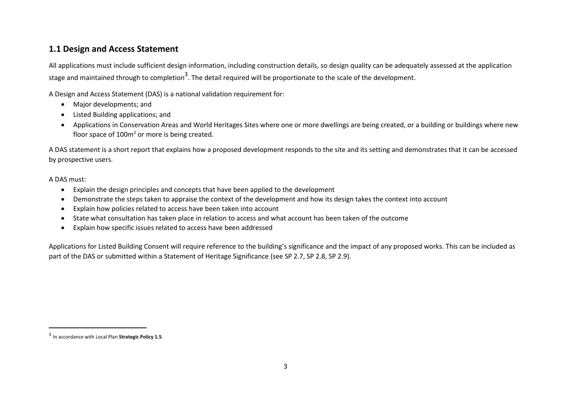### **1.1 Design and Access Statement**

All applications must include sufficient design information, including construction details, so design quality can be adequately assessed at the application stage and maintained through to completion<sup>3</sup>. The detail required will be proportionate to the scale of the development.

A Design and Access Statement (DAS) is a national validation requirement for:

- Major developments; and
- Listed Building applications; and
- Applications in Conservation Areas and World Heritages Sites where one or more dwellings are being created, or a building or buildings where new floor space of  $100m^2$  or more is being created.

A DAS statement is a short report that explains how a proposed development responds to the site and its setting and demonstrates that it can be accessed by prospective users.

#### A DAS must:

- Explain the design principles and concepts that have been applied to the development
- Demonstrate the steps taken to appraise the context of the development and how its design takes the context into account
- Explain how policies related to access have been taken into account
- State what consultation has taken place in relation to access and what account has been taken of the outcome
- Explain how specific issues related to access have been addressed

Applications for Listed Building Consent will require reference to the building's significance and the impact of any proposed works. This can be included as part of the DAS or submitted within a Statement of Heritage Significance (see SP 2.7, SP 2.8, SP 2.9).

<sup>3</sup> In accordance with Local Plan **Strategic Policy 1.5**.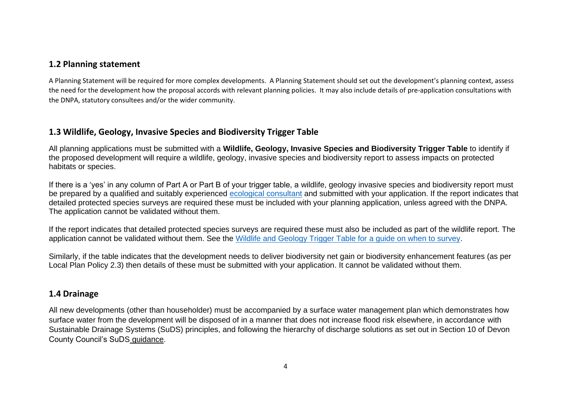### **1.2 Planning statement**

A Planning Statement will be required for more complex developments. A Planning Statement should set out the development's planning context, assess the need for the development how the proposal accords with relevant planning policies. It may also include details of pre-application consultations with the DNPA, statutory consultees and/or the wider community.

### **1.3 Wildlife, Geology, Invasive Species and Biodiversity Trigger Table**

All planning applications must be submitted with a **Wildlife, Geology, Invasive Species and Biodiversity Trigger Table** to identify if the proposed development will require a wildlife, geology, invasive species and biodiversity report to assess impacts on protected habitats or species.

If there is a 'yes' in any column of Part A or Part B of your trigger table, a wildlife, geology invasive species and biodiversity report must be prepared by a qualified and suitably experienced [ecological consultant](https://devoncc.sharepoint.com/:w:/s/PublicDocs/Environment/EZfMbGu3_ppJr_0L34azqNwBYENqoNNRUf_gmWaUQBsQnA?e=rMpAeB) and submitted with your application. If the report indicates that detailed protected species surveys are required these must be included with your planning application, unless agreed with the DNPA. The application cannot be validated without them.

If the report indicates that detailed protected species surveys are required these must also be included as part of the wildlife report. The application cannot be validated without them. See the [Wildlife and Geology Trigger Table for a](https://www.dartmoor.gov.uk/__data/assets/pdf_file/0018/428130/Wildlife-and-Geology-Trigger-Table.pdf) guide on when to survey.

Similarly, if the table indicates that the development needs to deliver biodiversity net gain or biodiversity enhancement features (as per Local Plan Policy 2.3) then details of these must be submitted with your application. It cannot be validated without them.

#### **1.4 Drainage**

All new developments (other than householder) must be accompanied by a surface water management plan which demonstrates how surface water from the development will be disposed of in a manner that does not increase flood risk elsewhere, in accordance with Sustainable Drainage Systems (SuDS) principles, and following the hierarchy of discharge solutions as set out in Section 10 of [Devon](https://www.devon.gov.uk/floodriskmanagement/planning-and-development/suds-guidance/)  [County Council's SuDS](https://www.devon.gov.uk/floodriskmanagement/planning-and-development/suds-guidance/) guidance.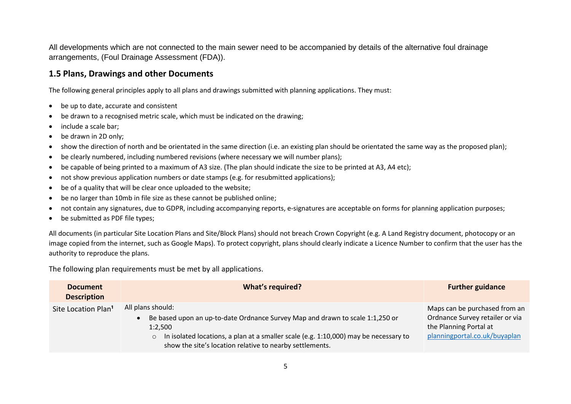All developments which are not connected to the main sewer need to be accompanied by details of the alternative foul drainage arrangements, (Foul Drainage Assessment (FDA)).

#### **1.5 Plans, Drawings and other Documents**

The following general principles apply to all plans and drawings submitted with planning applications. They must:

- be up to date, accurate and consistent
- be drawn to a recognised metric scale, which must be indicated on the drawing;
- include a scale bar;
- be drawn in 2D only;
- show the direction of north and be orientated in the same direction (i.e. an existing plan should be orientated the same way as the proposed plan);
- be clearly numbered, including numbered revisions (where necessary we will number plans);
- be capable of being printed to a maximum of A3 size. (The plan should indicate the size to be printed at A3, A4 etc);
- not show previous application numbers or date stamps (e.g. for resubmitted applications);
- be of a quality that will be clear once uploaded to the website;
- be no larger than 10mb in file size as these cannot be published online;
- not contain any signatures, due to GDPR, including accompanying reports, e-signatures are acceptable on forms for planning application purposes;
- be submitted as PDF file types;

All documents (in particular Site Location Plans and Site/Block Plans) should not breach Crown Copyright (e.g. A Land Registry document, photocopy or an image copied from the internet, such as Google Maps). To protect copyright, plans should clearly indicate a Licence Number to confirm that the user has the authority to reproduce the plans.

The following plan requirements must be met by all applications.

| <b>Document</b><br><b>Description</b> | What's required?                                                                                                                                                                                                                                                             | <b>Further guidance</b>                                                                                                     |
|---------------------------------------|------------------------------------------------------------------------------------------------------------------------------------------------------------------------------------------------------------------------------------------------------------------------------|-----------------------------------------------------------------------------------------------------------------------------|
| Site Location Plan <sup>1</sup>       | All plans should:<br>Be based upon an up-to-date Ordnance Survey Map and drawn to scale 1:1,250 or<br>1:2,500<br>In isolated locations, a plan at a smaller scale (e.g. 1:10,000) may be necessary to<br>$\circ$<br>show the site's location relative to nearby settlements. | Maps can be purchased from an<br>Ordnance Survey retailer or via<br>the Planning Portal at<br>planningportal.co.uk/buyaplan |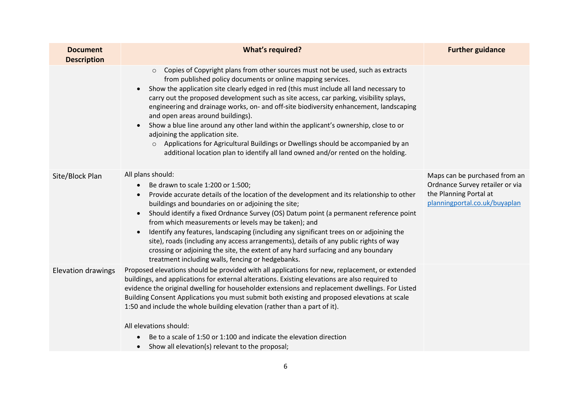| <b>Document</b><br><b>Description</b> | <b>What's required?</b>                                                                                                                                                                                                                                                                                                                                                                                                                                                                                                                                                                                                                                                                                                                                                                                                 | <b>Further guidance</b>                                                                                                     |
|---------------------------------------|-------------------------------------------------------------------------------------------------------------------------------------------------------------------------------------------------------------------------------------------------------------------------------------------------------------------------------------------------------------------------------------------------------------------------------------------------------------------------------------------------------------------------------------------------------------------------------------------------------------------------------------------------------------------------------------------------------------------------------------------------------------------------------------------------------------------------|-----------------------------------------------------------------------------------------------------------------------------|
|                                       | Copies of Copyright plans from other sources must not be used, such as extracts<br>$\circ$<br>from published policy documents or online mapping services.<br>Show the application site clearly edged in red (this must include all land necessary to<br>$\bullet$<br>carry out the proposed development such as site access, car parking, visibility splays,<br>engineering and drainage works, on- and off-site biodiversity enhancement, landscaping<br>and open areas around buildings).<br>Show a blue line around any other land within the applicant's ownership, close to or<br>$\bullet$<br>adjoining the application site.<br>Applications for Agricultural Buildings or Dwellings should be accompanied by an<br>$\circ$<br>additional location plan to identify all land owned and/or rented on the holding. |                                                                                                                             |
| Site/Block Plan                       | All plans should:<br>Be drawn to scale 1:200 or 1:500;<br>$\bullet$<br>Provide accurate details of the location of the development and its relationship to other<br>$\bullet$<br>buildings and boundaries on or adjoining the site;<br>Should identify a fixed Ordnance Survey (OS) Datum point (a permanent reference point<br>$\bullet$<br>from which measurements or levels may be taken); and<br>Identify any features, landscaping (including any significant trees on or adjoining the<br>$\bullet$<br>site), roads (including any access arrangements), details of any public rights of way<br>crossing or adjoining the site, the extent of any hard surfacing and any boundary<br>treatment including walls, fencing or hedgebanks.                                                                            | Maps can be purchased from an<br>Ordnance Survey retailer or via<br>the Planning Portal at<br>planningportal.co.uk/buyaplan |
| <b>Elevation drawings</b>             | Proposed elevations should be provided with all applications for new, replacement, or extended<br>buildings, and applications for external alterations. Existing elevations are also required to<br>evidence the original dwelling for householder extensions and replacement dwellings. For Listed<br>Building Consent Applications you must submit both existing and proposed elevations at scale<br>1:50 and include the whole building elevation (rather than a part of it).<br>All elevations should:<br>Be to a scale of 1:50 or 1:100 and indicate the elevation direction<br>Show all elevation(s) relevant to the proposal;                                                                                                                                                                                    |                                                                                                                             |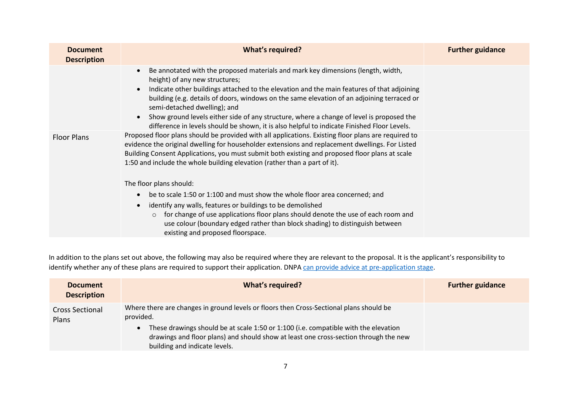| <b>Document</b><br><b>Description</b> | <b>What's required?</b>                                                                                                                                                                                                                                                                                                                                                                                                                                                                                                                   | <b>Further guidance</b> |
|---------------------------------------|-------------------------------------------------------------------------------------------------------------------------------------------------------------------------------------------------------------------------------------------------------------------------------------------------------------------------------------------------------------------------------------------------------------------------------------------------------------------------------------------------------------------------------------------|-------------------------|
|                                       | Be annotated with the proposed materials and mark key dimensions (length, width,<br>height) of any new structures;<br>Indicate other buildings attached to the elevation and the main features of that adjoining<br>building (e.g. details of doors, windows on the same elevation of an adjoining terraced or<br>semi-detached dwelling); and<br>Show ground levels either side of any structure, where a change of level is proposed the<br>difference in levels should be shown, it is also helpful to indicate Finished Floor Levels. |                         |
| <b>Floor Plans</b>                    | Proposed floor plans should be provided with all applications. Existing floor plans are required to<br>evidence the original dwelling for householder extensions and replacement dwellings. For Listed<br>Building Consent Applications, you must submit both existing and proposed floor plans at scale<br>1:50 and include the whole building elevation (rather than a part of it).                                                                                                                                                     |                         |
|                                       | The floor plans should:                                                                                                                                                                                                                                                                                                                                                                                                                                                                                                                   |                         |
|                                       | be to scale 1:50 or 1:100 and must show the whole floor area concerned; and                                                                                                                                                                                                                                                                                                                                                                                                                                                               |                         |
|                                       | identify any walls, features or buildings to be demolished<br>for change of use applications floor plans should denote the use of each room and<br>$\circ$<br>use colour (boundary edged rather than block shading) to distinguish between<br>existing and proposed floorspace.                                                                                                                                                                                                                                                           |                         |

In addition to the plans set out above, the following may also be required where they are relevant to the proposal. It is the applicant's responsibility to identify whether any of these plans are required to support their application. DNPA [can provide advice at pre-application](https://www.dartmoor.gov.uk/living-and-working/planning/planning-advice) stage.

| <b>Document</b><br><b>Description</b>  | <b>What's required?</b>                                                                                                                                                                                                                                                                                              | <b>Further guidance</b> |
|----------------------------------------|----------------------------------------------------------------------------------------------------------------------------------------------------------------------------------------------------------------------------------------------------------------------------------------------------------------------|-------------------------|
| <b>Cross Sectional</b><br><b>Plans</b> | Where there are changes in ground levels or floors then Cross-Sectional plans should be<br>provided.<br>These drawings should be at scale 1:50 or 1:100 (i.e. compatible with the elevation<br>drawings and floor plans) and should show at least one cross-section through the new<br>building and indicate levels. |                         |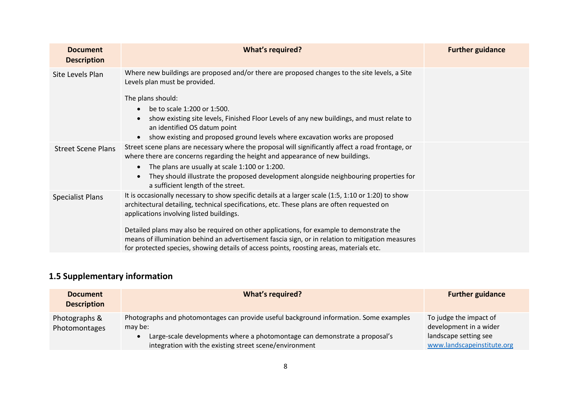| <b>Document</b><br><b>Description</b> | <b>What's required?</b>                                                                                                                                                                                                                                                                                                                                                                                                                                                                                                                   | <b>Further guidance</b> |
|---------------------------------------|-------------------------------------------------------------------------------------------------------------------------------------------------------------------------------------------------------------------------------------------------------------------------------------------------------------------------------------------------------------------------------------------------------------------------------------------------------------------------------------------------------------------------------------------|-------------------------|
| Site Levels Plan                      | Where new buildings are proposed and/or there are proposed changes to the site levels, a Site<br>Levels plan must be provided.<br>The plans should:<br>be to scale 1:200 or 1:500.<br>show existing site levels, Finished Floor Levels of any new buildings, and must relate to<br>an identified OS datum point<br>show existing and proposed ground levels where excavation works are proposed                                                                                                                                           |                         |
| <b>Street Scene Plans</b>             | Street scene plans are necessary where the proposal will significantly affect a road frontage, or<br>where there are concerns regarding the height and appearance of new buildings.<br>The plans are usually at scale 1:100 or 1:200.<br>They should illustrate the proposed development alongside neighbouring properties for<br>a sufficient length of the street.                                                                                                                                                                      |                         |
| <b>Specialist Plans</b>               | It is occasionally necessary to show specific details at a larger scale (1:5, 1:10 or 1:20) to show<br>architectural detailing, technical specifications, etc. These plans are often requested on<br>applications involving listed buildings.<br>Detailed plans may also be required on other applications, for example to demonstrate the<br>means of illumination behind an advertisement fascia sign, or in relation to mitigation measures<br>for protected species, showing details of access points, roosting areas, materials etc. |                         |

# **1.5 Supplementary information**

| <b>Document</b><br><b>Description</b> | <b>What's required?</b>                                                                                                                                                                                                                   | <b>Further guidance</b>                                                                                 |
|---------------------------------------|-------------------------------------------------------------------------------------------------------------------------------------------------------------------------------------------------------------------------------------------|---------------------------------------------------------------------------------------------------------|
| Photographs &<br>Photomontages        | Photographs and photomontages can provide useful background information. Some examples<br>may be:<br>Large-scale developments where a photomontage can demonstrate a proposal's<br>integration with the existing street scene/environment | To judge the impact of<br>development in a wider<br>landscape setting see<br>www.landscapeinstitute.org |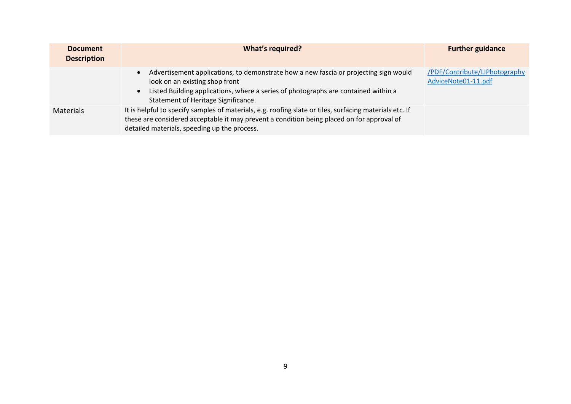| <b>Document</b><br><b>Description</b> | What's required?                                                                                                                                                                                                                                                 | <b>Further guidance</b>                              |
|---------------------------------------|------------------------------------------------------------------------------------------------------------------------------------------------------------------------------------------------------------------------------------------------------------------|------------------------------------------------------|
|                                       | Advertisement applications, to demonstrate how a new fascia or projecting sign would<br>$\bullet$<br>look on an existing shop front<br>Listed Building applications, where a series of photographs are contained within a<br>Statement of Heritage Significance. | /PDF/Contribute/LIPhotography<br>AdviceNote01-11.pdf |
| <b>Materials</b>                      | It is helpful to specify samples of materials, e.g. roofing slate or tiles, surfacing materials etc. If<br>these are considered acceptable it may prevent a condition being placed on for approval of<br>detailed materials, speeding up the process.            |                                                      |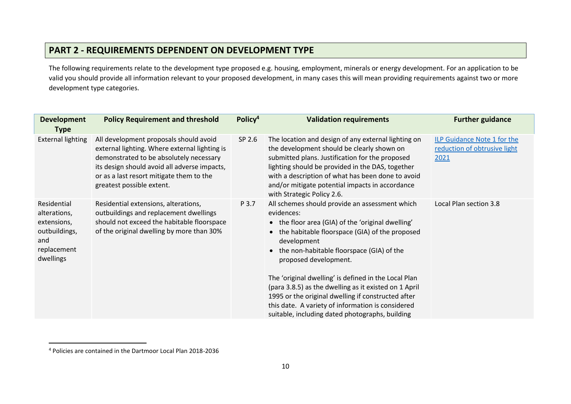## **PART 2 - REQUIREMENTS DEPENDENT ON DEVELOPMENT TYPE**

The following requirements relate to the development type proposed e.g. housing, employment, minerals or energy development. For an application to be valid you should provide all information relevant to your proposed development, in many cases this will mean providing requirements against two or more development type categories.

| <b>Development</b><br><b>Type</b>                                                              | <b>Policy Requirement and threshold</b>                                                                                                                                                                                                                     | Policy <sup>4</sup> | <b>Validation requirements</b>                                                                                                                                                                                                                                                                                                                                                                                                                                                                                                              | <b>Further guidance</b>                                             |
|------------------------------------------------------------------------------------------------|-------------------------------------------------------------------------------------------------------------------------------------------------------------------------------------------------------------------------------------------------------------|---------------------|---------------------------------------------------------------------------------------------------------------------------------------------------------------------------------------------------------------------------------------------------------------------------------------------------------------------------------------------------------------------------------------------------------------------------------------------------------------------------------------------------------------------------------------------|---------------------------------------------------------------------|
| <b>External lighting</b>                                                                       | All development proposals should avoid<br>external lighting. Where external lighting is<br>demonstrated to be absolutely necessary<br>its design should avoid all adverse impacts,<br>or as a last resort mitigate them to the<br>greatest possible extent. | SP 2.6              | The location and design of any external lighting on<br>the development should be clearly shown on<br>submitted plans. Justification for the proposed<br>lighting should be provided in the DAS, together<br>with a description of what has been done to avoid<br>and/or mitigate potential impacts in accordance<br>with Strategic Policy 2.6.                                                                                                                                                                                              | ILP Guidance Note 1 for the<br>reduction of obtrusive light<br>2021 |
| Residential<br>alterations,<br>extensions,<br>outbuildings,<br>and<br>replacement<br>dwellings | Residential extensions, alterations,<br>outbuildings and replacement dwellings<br>should not exceed the habitable floorspace<br>of the original dwelling by more than 30%                                                                                   | P 3.7               | All schemes should provide an assessment which<br>evidences:<br>• the floor area (GIA) of the 'original dwelling'<br>• the habitable floorspace (GIA) of the proposed<br>development<br>• the non-habitable floorspace (GIA) of the<br>proposed development.<br>The 'original dwelling' is defined in the Local Plan<br>(para 3.8.5) as the dwelling as it existed on 1 April<br>1995 or the original dwelling if constructed after<br>this date. A variety of information is considered<br>suitable, including dated photographs, building | Local Plan section 3.8                                              |

<sup>4</sup> Policies are contained in the Dartmoor Local Plan 2018-2036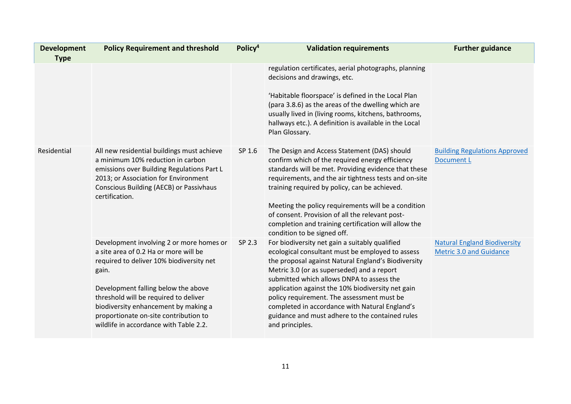| <b>Development</b> | <b>Policy Requirement and threshold</b>                                                                                                                                                                                                   | Policy <sup>4</sup> | <b>Validation requirements</b>                                                                                                                                                                                                                                    | <b>Further guidance</b>                                               |
|--------------------|-------------------------------------------------------------------------------------------------------------------------------------------------------------------------------------------------------------------------------------------|---------------------|-------------------------------------------------------------------------------------------------------------------------------------------------------------------------------------------------------------------------------------------------------------------|-----------------------------------------------------------------------|
| <b>Type</b>        |                                                                                                                                                                                                                                           |                     |                                                                                                                                                                                                                                                                   |                                                                       |
|                    |                                                                                                                                                                                                                                           |                     | regulation certificates, aerial photographs, planning<br>decisions and drawings, etc.<br>'Habitable floorspace' is defined in the Local Plan                                                                                                                      |                                                                       |
|                    |                                                                                                                                                                                                                                           |                     | (para 3.8.6) as the areas of the dwelling which are<br>usually lived in (living rooms, kitchens, bathrooms,<br>hallways etc.). A definition is available in the Local<br>Plan Glossary.                                                                           |                                                                       |
| Residential        | All new residential buildings must achieve<br>a minimum 10% reduction in carbon<br>emissions over Building Regulations Part L<br>2013; or Association for Environment<br><b>Conscious Building (AECB) or Passivhaus</b><br>certification. | SP 1.6              | The Design and Access Statement (DAS) should<br>confirm which of the required energy efficiency<br>standards will be met. Providing evidence that these<br>requirements, and the air tightness tests and on-site<br>training required by policy, can be achieved. | <b>Building Regulations Approved</b><br><b>Document L</b>             |
|                    |                                                                                                                                                                                                                                           |                     | Meeting the policy requirements will be a condition<br>of consent. Provision of all the relevant post-<br>completion and training certification will allow the<br>condition to be signed off.                                                                     |                                                                       |
|                    | Development involving 2 or more homes or<br>a site area of 0.2 Ha or more will be<br>required to deliver 10% biodiversity net<br>gain.                                                                                                    | SP 2.3              | For biodiversity net gain a suitably qualified<br>ecological consultant must be employed to assess<br>the proposal against Natural England's Biodiversity<br>Metric 3.0 (or as superseded) and a report<br>submitted which allows DNPA to assess the              | <b>Natural England Biodiversity</b><br><b>Metric 3.0 and Guidance</b> |
|                    | Development falling below the above<br>threshold will be required to deliver<br>biodiversity enhancement by making a<br>proportionate on-site contribution to<br>wildlife in accordance with Table 2.2.                                   |                     | application against the 10% biodiversity net gain<br>policy requirement. The assessment must be<br>completed in accordance with Natural England's<br>guidance and must adhere to the contained rules<br>and principles.                                           |                                                                       |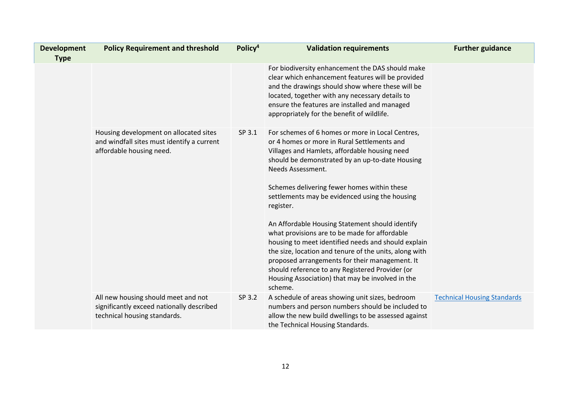| <b>Development</b><br><b>Type</b> | <b>Policy Requirement and threshold</b>                                                                          | Policy <sup>4</sup> | <b>Validation requirements</b>                                                                                                                                                                                                                                                                                                                                                                                                                                                                                                                                                                                                                                                                                                  | <b>Further guidance</b>            |
|-----------------------------------|------------------------------------------------------------------------------------------------------------------|---------------------|---------------------------------------------------------------------------------------------------------------------------------------------------------------------------------------------------------------------------------------------------------------------------------------------------------------------------------------------------------------------------------------------------------------------------------------------------------------------------------------------------------------------------------------------------------------------------------------------------------------------------------------------------------------------------------------------------------------------------------|------------------------------------|
|                                   |                                                                                                                  |                     | For biodiversity enhancement the DAS should make<br>clear which enhancement features will be provided<br>and the drawings should show where these will be<br>located, together with any necessary details to<br>ensure the features are installed and managed<br>appropriately for the benefit of wildlife.                                                                                                                                                                                                                                                                                                                                                                                                                     |                                    |
|                                   | Housing development on allocated sites<br>and windfall sites must identify a current<br>affordable housing need. | SP 3.1              | For schemes of 6 homes or more in Local Centres,<br>or 4 homes or more in Rural Settlements and<br>Villages and Hamlets, affordable housing need<br>should be demonstrated by an up-to-date Housing<br>Needs Assessment.<br>Schemes delivering fewer homes within these<br>settlements may be evidenced using the housing<br>register.<br>An Affordable Housing Statement should identify<br>what provisions are to be made for affordable<br>housing to meet identified needs and should explain<br>the size, location and tenure of the units, along with<br>proposed arrangements for their management. It<br>should reference to any Registered Provider (or<br>Housing Association) that may be involved in the<br>scheme. |                                    |
|                                   | All new housing should meet and not<br>significantly exceed nationally described<br>technical housing standards. | SP 3.2              | A schedule of areas showing unit sizes, bedroom<br>numbers and person numbers should be included to<br>allow the new build dwellings to be assessed against<br>the Technical Housing Standards.                                                                                                                                                                                                                                                                                                                                                                                                                                                                                                                                 | <b>Technical Housing Standards</b> |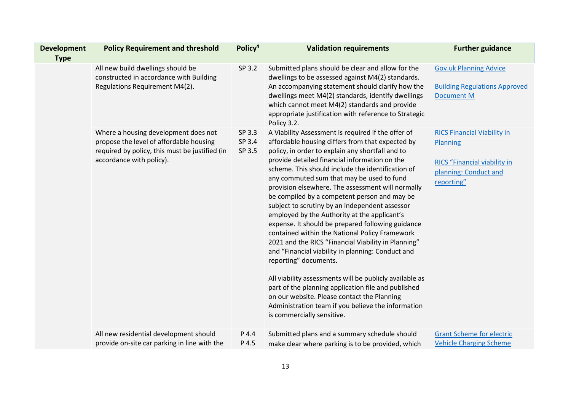| <b>Development</b> | <b>Policy Requirement and threshold</b>                                                                                                                       | Policy <sup>4</sup>        | <b>Validation requirements</b>                                                                                                                                                                                                                                                                                                                                                                                                                                                                                                                                                                                                                                                                                                                                                                                                                                                                                                                                                                                        | <b>Further guidance</b>                                                                                                             |
|--------------------|---------------------------------------------------------------------------------------------------------------------------------------------------------------|----------------------------|-----------------------------------------------------------------------------------------------------------------------------------------------------------------------------------------------------------------------------------------------------------------------------------------------------------------------------------------------------------------------------------------------------------------------------------------------------------------------------------------------------------------------------------------------------------------------------------------------------------------------------------------------------------------------------------------------------------------------------------------------------------------------------------------------------------------------------------------------------------------------------------------------------------------------------------------------------------------------------------------------------------------------|-------------------------------------------------------------------------------------------------------------------------------------|
| <b>Type</b>        | All new build dwellings should be<br>constructed in accordance with Building<br>Regulations Requirement M4(2).                                                | SP 3.2                     | Submitted plans should be clear and allow for the<br>dwellings to be assessed against M4(2) standards.<br>An accompanying statement should clarify how the<br>dwellings meet M4(2) standards, identify dwellings<br>which cannot meet M4(2) standards and provide<br>appropriate justification with reference to Strategic<br>Policy 3.2.                                                                                                                                                                                                                                                                                                                                                                                                                                                                                                                                                                                                                                                                             | <b>Gov.uk Planning Advice</b><br><b>Building Regulations Approved</b><br><b>Document M</b>                                          |
|                    | Where a housing development does not<br>propose the level of affordable housing<br>required by policy, this must be justified (in<br>accordance with policy). | SP 3.3<br>SP 3.4<br>SP 3.5 | A Viability Assessment is required if the offer of<br>affordable housing differs from that expected by<br>policy, in order to explain any shortfall and to<br>provide detailed financial information on the<br>scheme. This should include the identification of<br>any commuted sum that may be used to fund<br>provision elsewhere. The assessment will normally<br>be compiled by a competent person and may be<br>subject to scrutiny by an independent assessor<br>employed by the Authority at the applicant's<br>expense. It should be prepared following guidance<br>contained within the National Policy Framework<br>2021 and the RICS "Financial Viability in Planning"<br>and "Financial viability in planning: Conduct and<br>reporting" documents.<br>All viability assessments will be publicly available as<br>part of the planning application file and published<br>on our website. Please contact the Planning<br>Administration team if you believe the information<br>is commercially sensitive. | <b>RICS Financial Viability in</b><br><b>Planning</b><br><b>RICS</b> "Financial viability in<br>planning: Conduct and<br>reporting" |
|                    | All new residential development should<br>provide on-site car parking in line with the                                                                        | P 4.4<br>P 4.5             | Submitted plans and a summary schedule should<br>make clear where parking is to be provided, which                                                                                                                                                                                                                                                                                                                                                                                                                                                                                                                                                                                                                                                                                                                                                                                                                                                                                                                    | <b>Grant Scheme for electric</b><br><b>Vehicle Charging Scheme</b>                                                                  |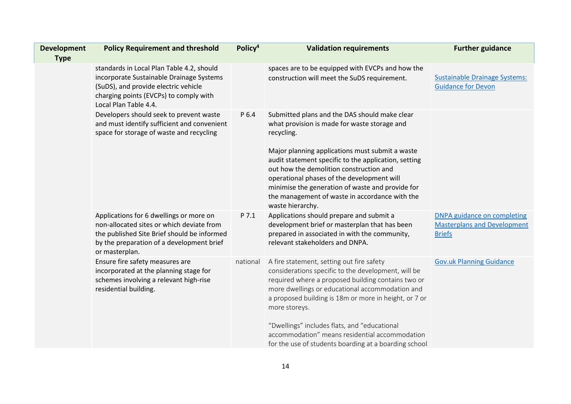| <b>Development</b><br><b>Type</b> | <b>Policy Requirement and threshold</b>                                                                                                                                                            | Policy <sup>4</sup> | <b>Validation requirements</b>                                                                                                                                                                                                                                                                                                                                                                                                                 | <b>Further guidance</b>                                                                   |
|-----------------------------------|----------------------------------------------------------------------------------------------------------------------------------------------------------------------------------------------------|---------------------|------------------------------------------------------------------------------------------------------------------------------------------------------------------------------------------------------------------------------------------------------------------------------------------------------------------------------------------------------------------------------------------------------------------------------------------------|-------------------------------------------------------------------------------------------|
|                                   | standards in Local Plan Table 4.2, should<br>incorporate Sustainable Drainage Systems<br>(SuDS), and provide electric vehicle<br>charging points (EVCPs) to comply with<br>Local Plan Table 4.4.   |                     | spaces are to be equipped with EVCPs and how the<br>construction will meet the SuDS requirement.                                                                                                                                                                                                                                                                                                                                               | <b>Sustainable Drainage Systems:</b><br><b>Guidance for Devon</b>                         |
|                                   | Developers should seek to prevent waste<br>and must identify sufficient and convenient<br>space for storage of waste and recycling                                                                 | P 6.4               | Submitted plans and the DAS should make clear<br>what provision is made for waste storage and<br>recycling.<br>Major planning applications must submit a waste<br>audit statement specific to the application, setting<br>out how the demolition construction and<br>operational phases of the development will<br>minimise the generation of waste and provide for<br>the management of waste in accordance with the<br>waste hierarchy.      |                                                                                           |
|                                   | Applications for 6 dwellings or more on<br>non-allocated sites or which deviate from<br>the published Site Brief should be informed<br>by the preparation of a development brief<br>or masterplan. | P 7.1               | Applications should prepare and submit a<br>development brief or masterplan that has been<br>prepared in associated in with the community,<br>relevant stakeholders and DNPA.                                                                                                                                                                                                                                                                  | <b>DNPA guidance on completing</b><br><b>Masterplans and Development</b><br><b>Briefs</b> |
|                                   | Ensure fire safety measures are<br>incorporated at the planning stage for<br>schemes involving a relevant high-rise<br>residential building.                                                       | national            | A fire statement, setting out fire safety<br>considerations specific to the development, will be<br>required where a proposed building contains two or<br>more dwellings or educational accommodation and<br>a proposed building is 18m or more in height, or 7 or<br>more storeys.<br>"Dwellings" includes flats, and "educational<br>accommodation" means residential accommodation<br>for the use of students boarding at a boarding school | <b>Gov.uk Planning Guidance</b>                                                           |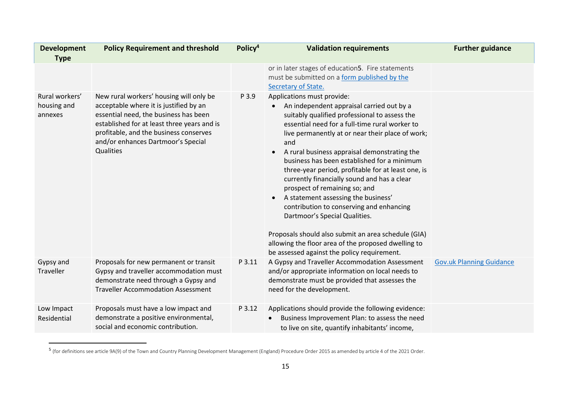| <b>Development</b>                       | <b>Policy Requirement and threshold</b>                                                                                                                                                                                                                                       | Policy <sup>4</sup> | <b>Validation requirements</b>                                                                                                                                                                                                                                                                                                                                                                                                                                                                                                                                                                                                                                                                                                                                           | <b>Further guidance</b>         |
|------------------------------------------|-------------------------------------------------------------------------------------------------------------------------------------------------------------------------------------------------------------------------------------------------------------------------------|---------------------|--------------------------------------------------------------------------------------------------------------------------------------------------------------------------------------------------------------------------------------------------------------------------------------------------------------------------------------------------------------------------------------------------------------------------------------------------------------------------------------------------------------------------------------------------------------------------------------------------------------------------------------------------------------------------------------------------------------------------------------------------------------------------|---------------------------------|
| <b>Type</b>                              |                                                                                                                                                                                                                                                                               |                     |                                                                                                                                                                                                                                                                                                                                                                                                                                                                                                                                                                                                                                                                                                                                                                          |                                 |
|                                          |                                                                                                                                                                                                                                                                               |                     | or in later stages of education5. Fire statements<br>must be submitted on a form published by the<br>Secretary of State.                                                                                                                                                                                                                                                                                                                                                                                                                                                                                                                                                                                                                                                 |                                 |
| Rural workers'<br>housing and<br>annexes | New rural workers' housing will only be<br>acceptable where it is justified by an<br>essential need, the business has been<br>established for at least three years and is<br>profitable, and the business conserves<br>and/or enhances Dartmoor's Special<br><b>Qualities</b> | P 3.9               | Applications must provide:<br>An independent appraisal carried out by a<br>suitably qualified professional to assess the<br>essential need for a full-time rural worker to<br>live permanently at or near their place of work;<br>and<br>A rural business appraisal demonstrating the<br>$\bullet$<br>business has been established for a minimum<br>three-year period, profitable for at least one, is<br>currently financially sound and has a clear<br>prospect of remaining so; and<br>A statement assessing the business'<br>contribution to conserving and enhancing<br>Dartmoor's Special Qualities.<br>Proposals should also submit an area schedule (GIA)<br>allowing the floor area of the proposed dwelling to<br>be assessed against the policy requirement. |                                 |
| Gypsy and<br>Traveller                   | Proposals for new permanent or transit<br>Gypsy and traveller accommodation must<br>demonstrate need through a Gypsy and<br><b>Traveller Accommodation Assessment</b>                                                                                                         | P 3.11              | A Gypsy and Traveller Accommodation Assessment<br>and/or appropriate information on local needs to<br>demonstrate must be provided that assesses the<br>need for the development.                                                                                                                                                                                                                                                                                                                                                                                                                                                                                                                                                                                        | <b>Gov.uk Planning Guidance</b> |
| Low Impact<br>Residential                | Proposals must have a low impact and<br>demonstrate a positive environmental,<br>social and economic contribution.                                                                                                                                                            | P 3.12              | Applications should provide the following evidence:<br>Business Improvement Plan: to assess the need<br>to live on site, quantify inhabitants' income,                                                                                                                                                                                                                                                                                                                                                                                                                                                                                                                                                                                                                   |                                 |

<sup>5</sup> (for definitions see article 9A(9) of the Town and Country Planning Development Management (England) Procedure Order 2015 as amended by article 4 of the 2021 Order.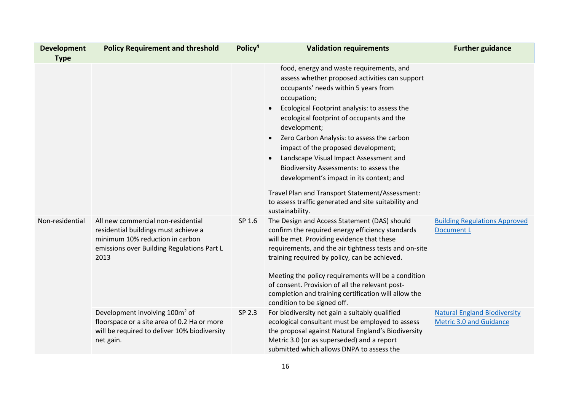| <b>Development</b><br><b>Type</b> | <b>Policy Requirement and threshold</b>                                                                                                                             | Policy <sup>4</sup> | <b>Validation requirements</b>                                                                                                                                                                                                                                                                                                                                                                                                                                                                                                                                                                                     | <b>Further guidance</b>                                               |
|-----------------------------------|---------------------------------------------------------------------------------------------------------------------------------------------------------------------|---------------------|--------------------------------------------------------------------------------------------------------------------------------------------------------------------------------------------------------------------------------------------------------------------------------------------------------------------------------------------------------------------------------------------------------------------------------------------------------------------------------------------------------------------------------------------------------------------------------------------------------------------|-----------------------------------------------------------------------|
|                                   |                                                                                                                                                                     |                     | food, energy and waste requirements, and<br>assess whether proposed activities can support<br>occupants' needs within 5 years from<br>occupation;<br>Ecological Footprint analysis: to assess the<br>ecological footprint of occupants and the<br>development;<br>Zero Carbon Analysis: to assess the carbon<br>impact of the proposed development;<br>Landscape Visual Impact Assessment and<br>Biodiversity Assessments: to assess the<br>development's impact in its context; and<br>Travel Plan and Transport Statement/Assessment:<br>to assess traffic generated and site suitability and<br>sustainability. |                                                                       |
| Non-residential                   | All new commercial non-residential<br>residential buildings must achieve a<br>minimum 10% reduction in carbon<br>emissions over Building Regulations Part L<br>2013 | SP 1.6              | The Design and Access Statement (DAS) should<br>confirm the required energy efficiency standards<br>will be met. Providing evidence that these<br>requirements, and the air tightness tests and on-site<br>training required by policy, can be achieved.<br>Meeting the policy requirements will be a condition<br>of consent. Provision of all the relevant post-<br>completion and training certification will allow the<br>condition to be signed off.                                                                                                                                                          | <b>Building Regulations Approved</b><br><b>Document L</b>             |
|                                   | Development involving 100m <sup>2</sup> of<br>floorspace or a site area of 0.2 Ha or more<br>will be required to deliver 10% biodiversity<br>net gain.              | SP 2.3              | For biodiversity net gain a suitably qualified<br>ecological consultant must be employed to assess<br>the proposal against Natural England's Biodiversity<br>Metric 3.0 (or as superseded) and a report<br>submitted which allows DNPA to assess the                                                                                                                                                                                                                                                                                                                                                               | <b>Natural England Biodiversity</b><br><b>Metric 3.0 and Guidance</b> |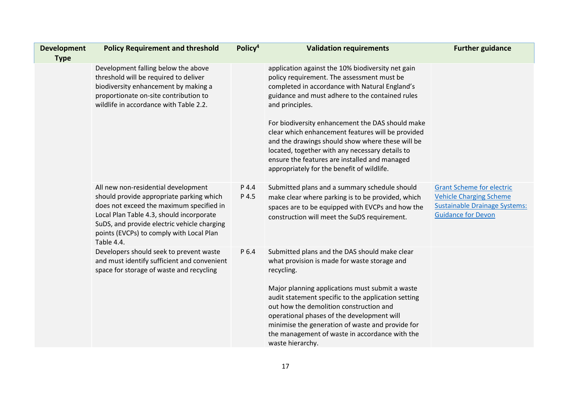| <b>Development</b><br><b>Type</b> | <b>Policy Requirement and threshold</b>                                                                                                                                                                                                                                          | Policy <sup>4</sup> | <b>Validation requirements</b>                                                                                                                                                                                                                                                                                                                                                                                                           | <b>Further guidance</b>                                                                                                                 |
|-----------------------------------|----------------------------------------------------------------------------------------------------------------------------------------------------------------------------------------------------------------------------------------------------------------------------------|---------------------|------------------------------------------------------------------------------------------------------------------------------------------------------------------------------------------------------------------------------------------------------------------------------------------------------------------------------------------------------------------------------------------------------------------------------------------|-----------------------------------------------------------------------------------------------------------------------------------------|
|                                   | Development falling below the above<br>threshold will be required to deliver<br>biodiversity enhancement by making a<br>proportionate on-site contribution to<br>wildlife in accordance with Table 2.2.                                                                          |                     | application against the 10% biodiversity net gain<br>policy requirement. The assessment must be<br>completed in accordance with Natural England's<br>guidance and must adhere to the contained rules<br>and principles.                                                                                                                                                                                                                  |                                                                                                                                         |
|                                   |                                                                                                                                                                                                                                                                                  |                     | For biodiversity enhancement the DAS should make<br>clear which enhancement features will be provided<br>and the drawings should show where these will be<br>located, together with any necessary details to<br>ensure the features are installed and managed<br>appropriately for the benefit of wildlife.                                                                                                                              |                                                                                                                                         |
|                                   | All new non-residential development<br>should provide appropriate parking which<br>does not exceed the maximum specified in<br>Local Plan Table 4.3, should incorporate<br>SuDS, and provide electric vehicle charging<br>points (EVCPs) to comply with Local Plan<br>Table 4.4. | P 4.4<br>P 4.5      | Submitted plans and a summary schedule should<br>make clear where parking is to be provided, which<br>spaces are to be equipped with EVCPs and how the<br>construction will meet the SuDS requirement.                                                                                                                                                                                                                                   | <b>Grant Scheme for electric</b><br><b>Vehicle Charging Scheme</b><br><b>Sustainable Drainage Systems:</b><br><b>Guidance for Devon</b> |
|                                   | Developers should seek to prevent waste<br>and must identify sufficient and convenient<br>space for storage of waste and recycling                                                                                                                                               | P 6.4               | Submitted plans and the DAS should make clear<br>what provision is made for waste storage and<br>recycling.<br>Major planning applications must submit a waste<br>audit statement specific to the application setting<br>out how the demolition construction and<br>operational phases of the development will<br>minimise the generation of waste and provide for<br>the management of waste in accordance with the<br>waste hierarchy. |                                                                                                                                         |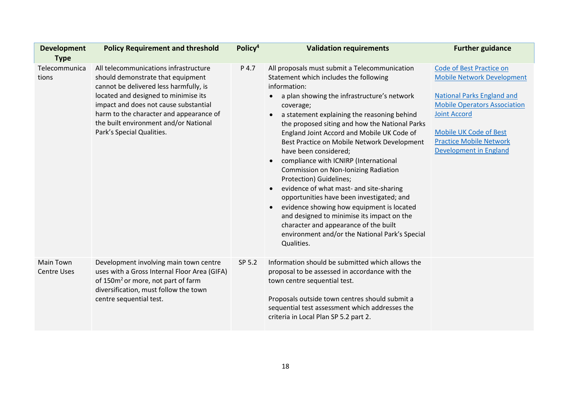| <b>Development</b>                     | <b>Policy Requirement and threshold</b>                                                                                                                                                                                                                                                                                | Policy <sup>4</sup> | <b>Validation requirements</b>                                                                                                                                                                                                                                                                                                                                                                                                                                                                                                                                                                                                                                                                                                                                                                                                                                | <b>Further guidance</b>                                                                                                                                                                                                                                              |
|----------------------------------------|------------------------------------------------------------------------------------------------------------------------------------------------------------------------------------------------------------------------------------------------------------------------------------------------------------------------|---------------------|---------------------------------------------------------------------------------------------------------------------------------------------------------------------------------------------------------------------------------------------------------------------------------------------------------------------------------------------------------------------------------------------------------------------------------------------------------------------------------------------------------------------------------------------------------------------------------------------------------------------------------------------------------------------------------------------------------------------------------------------------------------------------------------------------------------------------------------------------------------|----------------------------------------------------------------------------------------------------------------------------------------------------------------------------------------------------------------------------------------------------------------------|
| <b>Type</b>                            |                                                                                                                                                                                                                                                                                                                        |                     |                                                                                                                                                                                                                                                                                                                                                                                                                                                                                                                                                                                                                                                                                                                                                                                                                                                               |                                                                                                                                                                                                                                                                      |
| Telecommunica<br>tions                 | All telecommunications infrastructure<br>should demonstrate that equipment<br>cannot be delivered less harmfully, is<br>located and designed to minimise its<br>impact and does not cause substantial<br>harm to the character and appearance of<br>the built environment and/or National<br>Park's Special Qualities. | P 4.7               | All proposals must submit a Telecommunication<br>Statement which includes the following<br>information:<br>a plan showing the infrastructure's network<br>$\bullet$<br>coverage;<br>a statement explaining the reasoning behind<br>the proposed siting and how the National Parks<br>England Joint Accord and Mobile UK Code of<br>Best Practice on Mobile Network Development<br>have been considered;<br>compliance with ICNIRP (International<br>$\bullet$<br><b>Commission on Non-Ionizing Radiation</b><br>Protection) Guidelines;<br>evidence of what mast- and site-sharing<br>$\bullet$<br>opportunities have been investigated; and<br>evidence showing how equipment is located<br>$\bullet$<br>and designed to minimise its impact on the<br>character and appearance of the built<br>environment and/or the National Park's Special<br>Qualities. | <b>Code of Best Practice on</b><br><b>Mobile Network Development</b><br><b>National Parks England and</b><br><b>Mobile Operators Association</b><br><b>Joint Accord</b><br><b>Mobile UK Code of Best</b><br><b>Practice Mobile Network</b><br>Development in England |
| <b>Main Town</b><br><b>Centre Uses</b> | Development involving main town centre<br>uses with a Gross Internal Floor Area (GIFA)<br>of 150m <sup>2</sup> or more, not part of farm<br>diversification, must follow the town<br>centre sequential test.                                                                                                           | SP 5.2              | Information should be submitted which allows the<br>proposal to be assessed in accordance with the<br>town centre sequential test.<br>Proposals outside town centres should submit a<br>sequential test assessment which addresses the<br>criteria in Local Plan SP 5.2 part 2.                                                                                                                                                                                                                                                                                                                                                                                                                                                                                                                                                                               |                                                                                                                                                                                                                                                                      |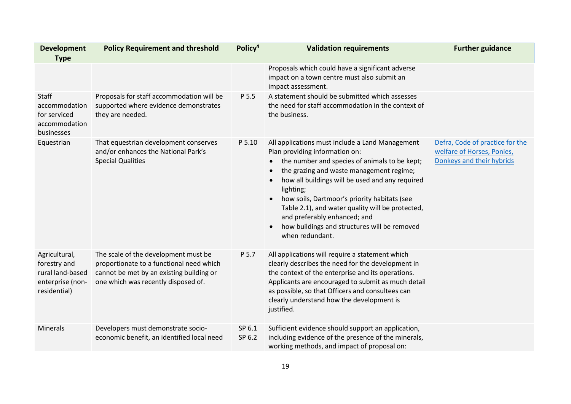| <b>Development</b><br><b>Type</b>                                                     | <b>Policy Requirement and threshold</b>                                                                                                                             | Policy <sup>4</sup> | <b>Validation requirements</b>                                                                                                                                                                                                                                                                                                                                                                                                                                                                                         | <b>Further guidance</b>                                                                    |
|---------------------------------------------------------------------------------------|---------------------------------------------------------------------------------------------------------------------------------------------------------------------|---------------------|------------------------------------------------------------------------------------------------------------------------------------------------------------------------------------------------------------------------------------------------------------------------------------------------------------------------------------------------------------------------------------------------------------------------------------------------------------------------------------------------------------------------|--------------------------------------------------------------------------------------------|
|                                                                                       |                                                                                                                                                                     |                     | Proposals which could have a significant adverse<br>impact on a town centre must also submit an<br>impact assessment.                                                                                                                                                                                                                                                                                                                                                                                                  |                                                                                            |
| Staff<br>accommodation<br>for serviced<br>accommodation<br>businesses                 | Proposals for staff accommodation will be<br>supported where evidence demonstrates<br>they are needed.                                                              | P 5.5               | A statement should be submitted which assesses<br>the need for staff accommodation in the context of<br>the business.                                                                                                                                                                                                                                                                                                                                                                                                  |                                                                                            |
| Equestrian                                                                            | That equestrian development conserves<br>and/or enhances the National Park's<br><b>Special Qualities</b>                                                            | P 5.10              | All applications must include a Land Management<br>Plan providing information on:<br>the number and species of animals to be kept;<br>$\bullet$<br>the grazing and waste management regime;<br>$\bullet$<br>how all buildings will be used and any required<br>$\bullet$<br>lighting;<br>how soils, Dartmoor's priority habitats (see<br>$\bullet$<br>Table 2.1), and water quality will be protected,<br>and preferably enhanced; and<br>how buildings and structures will be removed<br>$\bullet$<br>when redundant. | Defra, Code of practice for the<br>welfare of Horses, Ponies,<br>Donkeys and their hybrids |
| Agricultural,<br>forestry and<br>rural land-based<br>enterprise (non-<br>residential) | The scale of the development must be<br>proportionate to a functional need which<br>cannot be met by an existing building or<br>one which was recently disposed of. | P 5.7               | All applications will require a statement which<br>clearly describes the need for the development in<br>the context of the enterprise and its operations.<br>Applicants are encouraged to submit as much detail<br>as possible, so that Officers and consultees can<br>clearly understand how the development is<br>justified.                                                                                                                                                                                         |                                                                                            |
| <b>Minerals</b>                                                                       | Developers must demonstrate socio-<br>economic benefit, an identified local need                                                                                    | SP 6.1<br>SP 6.2    | Sufficient evidence should support an application,<br>including evidence of the presence of the minerals,<br>working methods, and impact of proposal on:                                                                                                                                                                                                                                                                                                                                                               |                                                                                            |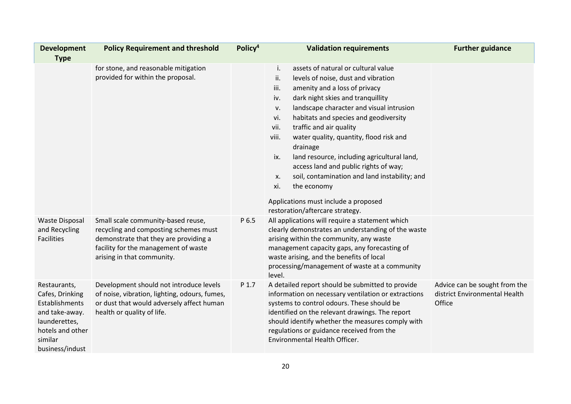| <b>Development</b><br><b>Type</b>                                                                                                      | <b>Policy Requirement and threshold</b>                                                                                                                                                    | Policy <sup>4</sup> | <b>Validation requirements</b>                                                                                                                                                                                                                                                                                                                                                                                                                                                                                                                                                                                                           | <b>Further guidance</b>                                                  |
|----------------------------------------------------------------------------------------------------------------------------------------|--------------------------------------------------------------------------------------------------------------------------------------------------------------------------------------------|---------------------|------------------------------------------------------------------------------------------------------------------------------------------------------------------------------------------------------------------------------------------------------------------------------------------------------------------------------------------------------------------------------------------------------------------------------------------------------------------------------------------------------------------------------------------------------------------------------------------------------------------------------------------|--------------------------------------------------------------------------|
|                                                                                                                                        | for stone, and reasonable mitigation<br>provided for within the proposal.                                                                                                                  |                     | assets of natural or cultural value<br>i.<br>levels of noise, dust and vibration<br>ii.<br>amenity and a loss of privacy<br>iii.<br>dark night skies and tranquillity<br>iv.<br>landscape character and visual intrusion<br>v.<br>habitats and species and geodiversity<br>vi.<br>traffic and air quality<br>vii.<br>viii.<br>water quality, quantity, flood risk and<br>drainage<br>ix.<br>land resource, including agricultural land,<br>access land and public rights of way;<br>soil, contamination and land instability; and<br>X.<br>xi.<br>the economy<br>Applications must include a proposed<br>restoration/aftercare strategy. |                                                                          |
| <b>Waste Disposal</b><br>and Recycling<br><b>Facilities</b>                                                                            | Small scale community-based reuse,<br>recycling and composting schemes must<br>demonstrate that they are providing a<br>facility for the management of waste<br>arising in that community. | P 6.5               | All applications will require a statement which<br>clearly demonstrates an understanding of the waste<br>arising within the community, any waste<br>management capacity gaps, any forecasting of<br>waste arising, and the benefits of local<br>processing/management of waste at a community<br>level.                                                                                                                                                                                                                                                                                                                                  |                                                                          |
| Restaurants,<br>Cafes, Drinking<br>Establishments<br>and take-away.<br>launderettes,<br>hotels and other<br>similar<br>business/indust | Development should not introduce levels<br>of noise, vibration, lighting, odours, fumes,<br>or dust that would adversely affect human<br>health or quality of life.                        | P 1.7               | A detailed report should be submitted to provide<br>information on necessary ventilation or extractions<br>systems to control odours. These should be<br>identified on the relevant drawings. The report<br>should identify whether the measures comply with<br>regulations or guidance received from the<br>Environmental Health Officer.                                                                                                                                                                                                                                                                                               | Advice can be sought from the<br>district Environmental Health<br>Office |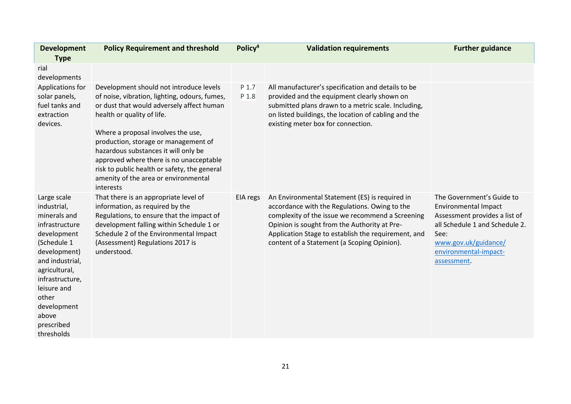| <b>Development</b>                                                                                                                                                                                                                            | <b>Policy Requirement and threshold</b>                                                                                                                                                                                                                                                                                                                                                                                                   | Policy <sup>4</sup> | <b>Validation requirements</b>                                                                                                                                                                                                                                                                            | <b>Further guidance</b>                                                                                                                                                                             |
|-----------------------------------------------------------------------------------------------------------------------------------------------------------------------------------------------------------------------------------------------|-------------------------------------------------------------------------------------------------------------------------------------------------------------------------------------------------------------------------------------------------------------------------------------------------------------------------------------------------------------------------------------------------------------------------------------------|---------------------|-----------------------------------------------------------------------------------------------------------------------------------------------------------------------------------------------------------------------------------------------------------------------------------------------------------|-----------------------------------------------------------------------------------------------------------------------------------------------------------------------------------------------------|
| <b>Type</b>                                                                                                                                                                                                                                   |                                                                                                                                                                                                                                                                                                                                                                                                                                           |                     |                                                                                                                                                                                                                                                                                                           |                                                                                                                                                                                                     |
| rial<br>developments                                                                                                                                                                                                                          |                                                                                                                                                                                                                                                                                                                                                                                                                                           |                     |                                                                                                                                                                                                                                                                                                           |                                                                                                                                                                                                     |
| Applications for<br>solar panels,<br>fuel tanks and<br>extraction<br>devices.                                                                                                                                                                 | Development should not introduce levels<br>of noise, vibration, lighting, odours, fumes,<br>or dust that would adversely affect human<br>health or quality of life.<br>Where a proposal involves the use,<br>production, storage or management of<br>hazardous substances it will only be<br>approved where there is no unacceptable<br>risk to public health or safety, the general<br>amenity of the area or environmental<br>interests | P 1.7<br>P 1.8      | All manufacturer's specification and details to be<br>provided and the equipment clearly shown on<br>submitted plans drawn to a metric scale. Including,<br>on listed buildings, the location of cabling and the<br>existing meter box for connection.                                                    |                                                                                                                                                                                                     |
| Large scale<br>industrial,<br>minerals and<br>infrastructure<br>development<br>(Schedule 1<br>development)<br>and industrial,<br>agricultural,<br>infrastructure,<br>leisure and<br>other<br>development<br>above<br>prescribed<br>thresholds | That there is an appropriate level of<br>information, as required by the<br>Regulations, to ensure that the impact of<br>development falling within Schedule 1 or<br>Schedule 2 of the Environmental Impact<br>(Assessment) Regulations 2017 is<br>understood.                                                                                                                                                                            | EIA regs            | An Environmental Statement (ES) is required in<br>accordance with the Regulations. Owing to the<br>complexity of the issue we recommend a Screening<br>Opinion is sought from the Authority at Pre-<br>Application Stage to establish the requirement, and<br>content of a Statement (a Scoping Opinion). | The Government's Guide to<br><b>Environmental Impact</b><br>Assessment provides a list of<br>all Schedule 1 and Schedule 2.<br>See:<br>www.gov.uk/guidance/<br>environmental-impact-<br>assessment. |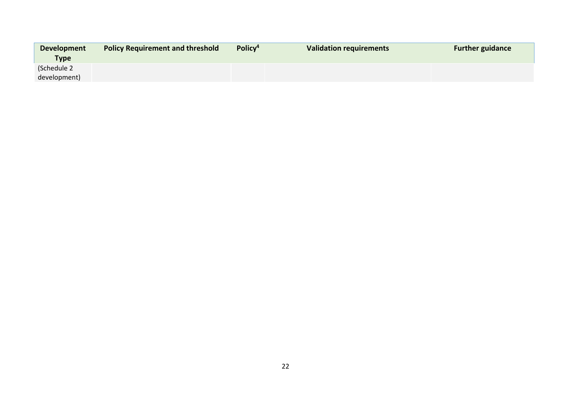| <b>Development</b> | <b>Policy Requirement and threshold</b> | Policy <sup>4</sup> | <b>Validation requirements</b> | <b>Further guidance</b> |
|--------------------|-----------------------------------------|---------------------|--------------------------------|-------------------------|
| <b>Type</b>        |                                         |                     |                                |                         |
| (Schedule 2        |                                         |                     |                                |                         |
| development)       |                                         |                     |                                |                         |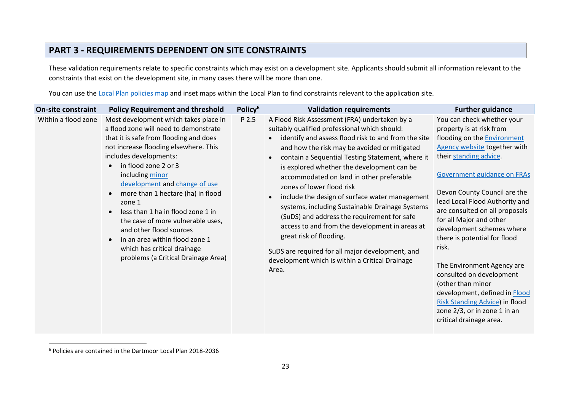## **PART 3 - REQUIREMENTS DEPENDENT ON SITE CONSTRAINTS**

These validation requirements relate to specific constraints which may exist on a development site. Applicants should submit all information relevant to the constraints that exist on the development site, in many cases there will be more than one.

You can use the [Local Plan policies map](https://www.dartmoor.gov.uk/about-us/about-us-maps/dmd-map) and inset maps within the Local Plan to find constraints relevant to the application site.

| Policy <sup>6</sup><br>On-site constraint<br><b>Policy Requirement and threshold</b>                                                                                                                                                                                                                                                                                                                                                                                                                                                                                                                                    | <b>Validation requirements</b>                                                                                                                                                                                                                                                                                                                                                                                                                                                                                                                                                                                                                                                                                                                                           | <b>Further guidance</b>                                                                                                                                                                                                                                                                                                                                                                                                                                                                                                                                                                                        |
|-------------------------------------------------------------------------------------------------------------------------------------------------------------------------------------------------------------------------------------------------------------------------------------------------------------------------------------------------------------------------------------------------------------------------------------------------------------------------------------------------------------------------------------------------------------------------------------------------------------------------|--------------------------------------------------------------------------------------------------------------------------------------------------------------------------------------------------------------------------------------------------------------------------------------------------------------------------------------------------------------------------------------------------------------------------------------------------------------------------------------------------------------------------------------------------------------------------------------------------------------------------------------------------------------------------------------------------------------------------------------------------------------------------|----------------------------------------------------------------------------------------------------------------------------------------------------------------------------------------------------------------------------------------------------------------------------------------------------------------------------------------------------------------------------------------------------------------------------------------------------------------------------------------------------------------------------------------------------------------------------------------------------------------|
| Within a flood zone<br>Most development which takes place in<br>P 2.5<br>a flood zone will need to demonstrate<br>that it is safe from flooding and does<br>not increase flooding elsewhere. This<br>includes developments:<br>in flood zone 2 or 3<br>$\bullet$<br>including minor<br>development and change of use<br>more than 1 hectare (ha) in flood<br>$\bullet$<br>zone 1<br>less than 1 ha in flood zone 1 in<br>$\bullet$<br>the case of more vulnerable uses,<br>and other flood sources<br>in an area within flood zone 1<br>$\bullet$<br>which has critical drainage<br>problems (a Critical Drainage Area) | A Flood Risk Assessment (FRA) undertaken by a<br>suitably qualified professional which should:<br>identify and assess flood risk to and from the site<br>$\bullet$<br>and how the risk may be avoided or mitigated<br>contain a Sequential Testing Statement, where it<br>$\bullet$<br>is explored whether the development can be<br>accommodated on land in other preferable<br>zones of lower flood risk<br>include the design of surface water management<br>$\bullet$<br>systems, including Sustainable Drainage Systems<br>(SuDS) and address the requirement for safe<br>access to and from the development in areas at<br>great risk of flooding.<br>SuDS are required for all major development, and<br>development which is within a Critical Drainage<br>Area. | You can check whether your<br>property is at risk from<br>flooding on the <b>Environment</b><br>Agency website together with<br>their standing advice.<br>Government guidance on FRAs<br>Devon County Council are the<br>lead Local Flood Authority and<br>are consulted on all proposals<br>for all Major and other<br>development schemes where<br>there is potential for flood<br>risk.<br>The Environment Agency are<br>consulted on development<br>(other than minor<br>development, defined in Flood<br><b>Risk Standing Advice) in flood</b><br>zone 2/3, or in zone 1 in an<br>critical drainage area. |

<sup>6</sup> Policies are contained in the Dartmoor Local Plan 2018-2036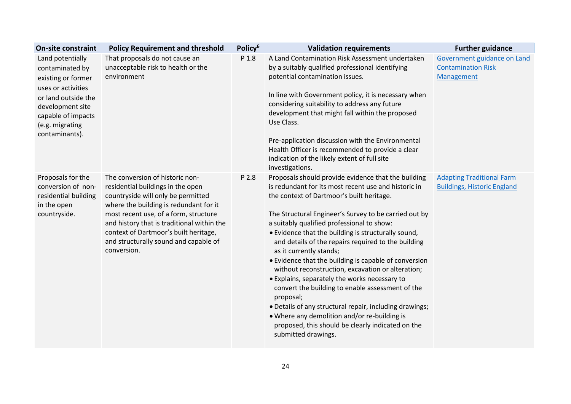| <b>On-site constraint</b>                                                                              | <b>Policy Requirement and threshold</b>                                                                                                                                                                                                                                                                                                      | Policy <sup>6</sup> | <b>Validation requirements</b>                                                                                                                                                                                                                                                                                                                                                                                                                                                                                                                                                                                                                                                                                                                                                                                                  | <b>Further guidance</b>                                                |
|--------------------------------------------------------------------------------------------------------|----------------------------------------------------------------------------------------------------------------------------------------------------------------------------------------------------------------------------------------------------------------------------------------------------------------------------------------------|---------------------|---------------------------------------------------------------------------------------------------------------------------------------------------------------------------------------------------------------------------------------------------------------------------------------------------------------------------------------------------------------------------------------------------------------------------------------------------------------------------------------------------------------------------------------------------------------------------------------------------------------------------------------------------------------------------------------------------------------------------------------------------------------------------------------------------------------------------------|------------------------------------------------------------------------|
| Land potentially<br>contaminated by<br>existing or former<br>uses or activities<br>or land outside the | That proposals do not cause an<br>unacceptable risk to health or the<br>environment                                                                                                                                                                                                                                                          | P 1.8               | A Land Contamination Risk Assessment undertaken<br>by a suitably qualified professional identifying<br>potential contamination issues.<br>In line with Government policy, it is necessary when                                                                                                                                                                                                                                                                                                                                                                                                                                                                                                                                                                                                                                  | Government guidance on Land<br><b>Contamination Risk</b><br>Management |
| development site<br>capable of impacts<br>(e.g. migrating<br>contaminants).                            |                                                                                                                                                                                                                                                                                                                                              |                     | considering suitability to address any future<br>development that might fall within the proposed<br>Use Class.<br>Pre-application discussion with the Environmental                                                                                                                                                                                                                                                                                                                                                                                                                                                                                                                                                                                                                                                             |                                                                        |
|                                                                                                        |                                                                                                                                                                                                                                                                                                                                              |                     | Health Officer is recommended to provide a clear<br>indication of the likely extent of full site<br>investigations.                                                                                                                                                                                                                                                                                                                                                                                                                                                                                                                                                                                                                                                                                                             |                                                                        |
| Proposals for the<br>conversion of non-<br>residential building<br>in the open<br>countryside.         | The conversion of historic non-<br>residential buildings in the open<br>countryside will only be permitted<br>where the building is redundant for it<br>most recent use, of a form, structure<br>and history that is traditional within the<br>context of Dartmoor's built heritage,<br>and structurally sound and capable of<br>conversion. | P 2.8               | Proposals should provide evidence that the building<br>is redundant for its most recent use and historic in<br>the context of Dartmoor's built heritage.<br>The Structural Engineer's Survey to be carried out by<br>a suitably qualified professional to show:<br>• Evidence that the building is structurally sound,<br>and details of the repairs required to the building<br>as it currently stands;<br>• Evidence that the building is capable of conversion<br>without reconstruction, excavation or alteration;<br>• Explains, separately the works necessary to<br>convert the building to enable assessment of the<br>proposal;<br>. Details of any structural repair, including drawings;<br>. Where any demolition and/or re-building is<br>proposed, this should be clearly indicated on the<br>submitted drawings. | <b>Adapting Traditional Farm</b><br><b>Buildings, Historic England</b> |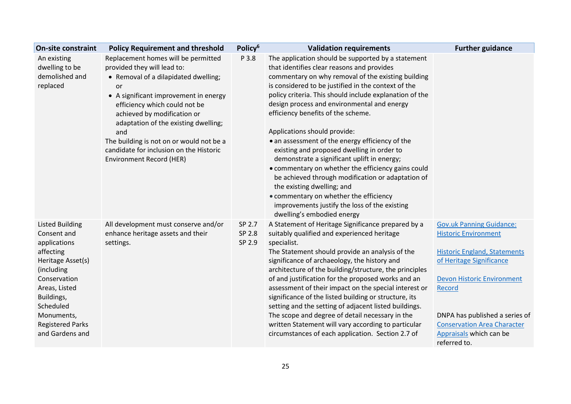| <b>On-site constraint</b>                                                                                                                                                                                                     | <b>Policy Requirement and threshold</b>                                                                                                                                                                                                                                                                                                                                                            | Policy <sup>6</sup>        | <b>Validation requirements</b>                                                                                                                                                                                                                                                                                                                                                                                                                                                                                                                                                                                                                                                                                                                                                                                  | <b>Further guidance</b>                                                                                                                                                                                                                                                                             |
|-------------------------------------------------------------------------------------------------------------------------------------------------------------------------------------------------------------------------------|----------------------------------------------------------------------------------------------------------------------------------------------------------------------------------------------------------------------------------------------------------------------------------------------------------------------------------------------------------------------------------------------------|----------------------------|-----------------------------------------------------------------------------------------------------------------------------------------------------------------------------------------------------------------------------------------------------------------------------------------------------------------------------------------------------------------------------------------------------------------------------------------------------------------------------------------------------------------------------------------------------------------------------------------------------------------------------------------------------------------------------------------------------------------------------------------------------------------------------------------------------------------|-----------------------------------------------------------------------------------------------------------------------------------------------------------------------------------------------------------------------------------------------------------------------------------------------------|
| An existing<br>dwelling to be<br>demolished and<br>replaced                                                                                                                                                                   | Replacement homes will be permitted<br>provided they will lead to:<br>• Removal of a dilapidated dwelling;<br>or<br>• A significant improvement in energy<br>efficiency which could not be<br>achieved by modification or<br>adaptation of the existing dwelling;<br>and<br>The building is not on or would not be a<br>candidate for inclusion on the Historic<br><b>Environment Record (HER)</b> | P 3.8                      | The application should be supported by a statement<br>that identifies clear reasons and provides<br>commentary on why removal of the existing building<br>is considered to be justified in the context of the<br>policy criteria. This should include explanation of the<br>design process and environmental and energy<br>efficiency benefits of the scheme.<br>Applications should provide:<br>• an assessment of the energy efficiency of the<br>existing and proposed dwelling in order to<br>demonstrate a significant uplift in energy;<br>• commentary on whether the efficiency gains could<br>be achieved through modification or adaptation of<br>the existing dwelling; and<br>• commentary on whether the efficiency<br>improvements justify the loss of the existing<br>dwelling's embodied energy |                                                                                                                                                                                                                                                                                                     |
| <b>Listed Building</b><br>Consent and<br>applications<br>affecting<br>Heritage Asset(s)<br>(including<br>Conservation<br>Areas, Listed<br>Buildings,<br>Scheduled<br>Monuments,<br><b>Registered Parks</b><br>and Gardens and | All development must conserve and/or<br>enhance heritage assets and their<br>settings.                                                                                                                                                                                                                                                                                                             | SP 2.7<br>SP 2.8<br>SP 2.9 | A Statement of Heritage Significance prepared by a<br>suitably qualified and experienced heritage<br>specialist.<br>The Statement should provide an analysis of the<br>significance of archaeology, the history and<br>architecture of the building/structure, the principles<br>of and justification for the proposed works and an<br>assessment of their impact on the special interest or<br>significance of the listed building or structure, its<br>setting and the setting of adjacent listed buildings.<br>The scope and degree of detail necessary in the<br>written Statement will vary according to particular<br>circumstances of each application. Section 2.7 of                                                                                                                                   | <b>Gov.uk Panning Guidance:</b><br><b>Historic Environment</b><br><b>Historic England, Statements</b><br>of Heritage Significance<br><b>Devon Historic Environment</b><br>Record<br>DNPA has published a series of<br><b>Conservation Area Character</b><br>Appraisals which can be<br>referred to. |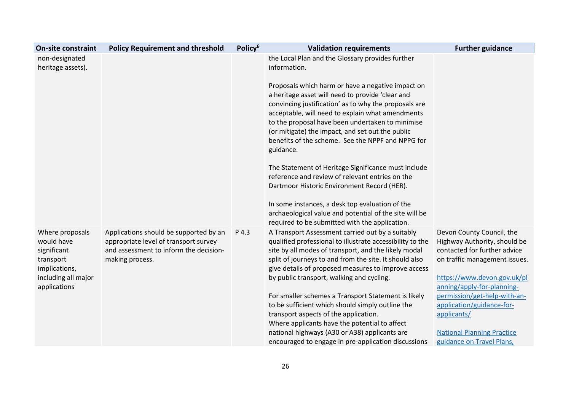| <b>On-site constraint</b>                                                                                         | <b>Policy Requirement and threshold</b>                                                                                                      | Policy <sup>6</sup> | <b>Validation requirements</b>                                                                                                                                                                                                                                                                                                                                                               | <b>Further guidance</b>                                                                                                                                                                 |
|-------------------------------------------------------------------------------------------------------------------|----------------------------------------------------------------------------------------------------------------------------------------------|---------------------|----------------------------------------------------------------------------------------------------------------------------------------------------------------------------------------------------------------------------------------------------------------------------------------------------------------------------------------------------------------------------------------------|-----------------------------------------------------------------------------------------------------------------------------------------------------------------------------------------|
| non-designated<br>heritage assets).                                                                               |                                                                                                                                              |                     | the Local Plan and the Glossary provides further<br>information.                                                                                                                                                                                                                                                                                                                             |                                                                                                                                                                                         |
|                                                                                                                   |                                                                                                                                              |                     | Proposals which harm or have a negative impact on<br>a heritage asset will need to provide 'clear and<br>convincing justification' as to why the proposals are<br>acceptable, will need to explain what amendments<br>to the proposal have been undertaken to minimise<br>(or mitigate) the impact, and set out the public<br>benefits of the scheme. See the NPPF and NPPG for<br>guidance. |                                                                                                                                                                                         |
|                                                                                                                   |                                                                                                                                              |                     | The Statement of Heritage Significance must include<br>reference and review of relevant entries on the<br>Dartmoor Historic Environment Record (HER).<br>In some instances, a desk top evaluation of the<br>archaeological value and potential of the site will be                                                                                                                           |                                                                                                                                                                                         |
|                                                                                                                   |                                                                                                                                              |                     | required to be submitted with the application.                                                                                                                                                                                                                                                                                                                                               |                                                                                                                                                                                         |
| Where proposals<br>would have<br>significant<br>transport<br>implications,<br>including all major<br>applications | Applications should be supported by an<br>appropriate level of transport survey<br>and assessment to inform the decision-<br>making process. | P 4.3               | A Transport Assessment carried out by a suitably<br>qualified professional to illustrate accessibility to the<br>site by all modes of transport, and the likely modal<br>split of journeys to and from the site. It should also<br>give details of proposed measures to improve access<br>by public transport, walking and cycling.                                                          | Devon County Council, the<br>Highway Authority, should be<br>contacted for further advice<br>on traffic management issues.<br>https://www.devon.gov.uk/pl<br>anning/apply-for-planning- |
|                                                                                                                   |                                                                                                                                              |                     | For smaller schemes a Transport Statement is likely<br>to be sufficient which should simply outline the                                                                                                                                                                                                                                                                                      | permission/get-help-with-an-<br>application/guidance-for-                                                                                                                               |
|                                                                                                                   |                                                                                                                                              |                     | transport aspects of the application.                                                                                                                                                                                                                                                                                                                                                        | applicants/                                                                                                                                                                             |
|                                                                                                                   |                                                                                                                                              |                     | Where applicants have the potential to affect                                                                                                                                                                                                                                                                                                                                                |                                                                                                                                                                                         |
|                                                                                                                   |                                                                                                                                              |                     | national highways (A30 or A38) applicants are                                                                                                                                                                                                                                                                                                                                                | <b>National Planning Practice</b>                                                                                                                                                       |
|                                                                                                                   |                                                                                                                                              |                     | encouraged to engage in pre-application discussions                                                                                                                                                                                                                                                                                                                                          | guidance on Travel Plans,                                                                                                                                                               |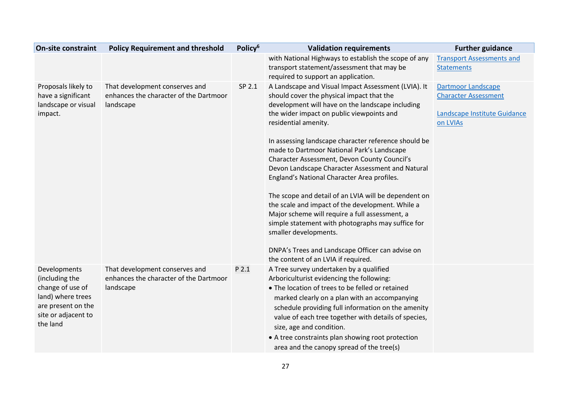| <b>On-site constraint</b>                                                                                                        | <b>Policy Requirement and threshold</b>                                               | Policy <sup>6</sup> | <b>Validation requirements</b>                                                                                                                                                                                                                                                                                                                                                                                                            | <b>Further guidance</b>                                                                              |
|----------------------------------------------------------------------------------------------------------------------------------|---------------------------------------------------------------------------------------|---------------------|-------------------------------------------------------------------------------------------------------------------------------------------------------------------------------------------------------------------------------------------------------------------------------------------------------------------------------------------------------------------------------------------------------------------------------------------|------------------------------------------------------------------------------------------------------|
|                                                                                                                                  |                                                                                       |                     | with National Highways to establish the scope of any<br>transport statement/assessment that may be<br>required to support an application.                                                                                                                                                                                                                                                                                                 | <b>Transport Assessments and</b><br><b>Statements</b>                                                |
| Proposals likely to<br>have a significant<br>landscape or visual<br>impact.                                                      | That development conserves and<br>enhances the character of the Dartmoor<br>landscape | SP 2.1              | A Landscape and Visual Impact Assessment (LVIA). It<br>should cover the physical impact that the<br>development will have on the landscape including<br>the wider impact on public viewpoints and<br>residential amenity.<br>In assessing landscape character reference should be                                                                                                                                                         | <b>Dartmoor Landscape</b><br><b>Character Assessment</b><br>Landscape Institute Guidance<br>on LVIAs |
|                                                                                                                                  |                                                                                       |                     | made to Dartmoor National Park's Landscape<br>Character Assessment, Devon County Council's<br>Devon Landscape Character Assessment and Natural<br>England's National Character Area profiles.<br>The scope and detail of an LVIA will be dependent on<br>the scale and impact of the development. While a<br>Major scheme will require a full assessment, a<br>simple statement with photographs may suffice for<br>smaller developments. |                                                                                                      |
|                                                                                                                                  |                                                                                       |                     | DNPA's Trees and Landscape Officer can advise on<br>the content of an LVIA if required.                                                                                                                                                                                                                                                                                                                                                   |                                                                                                      |
| Developments<br>(including the<br>change of use of<br>land) where trees<br>are present on the<br>site or adjacent to<br>the land | That development conserves and<br>enhances the character of the Dartmoor<br>landscape | P 2.1               | A Tree survey undertaken by a qualified<br>Arboriculturist evidencing the following:<br>• The location of trees to be felled or retained<br>marked clearly on a plan with an accompanying<br>schedule providing full information on the amenity<br>value of each tree together with details of species,<br>size, age and condition.<br>• A tree constraints plan showing root protection<br>area and the canopy spread of the tree(s)     |                                                                                                      |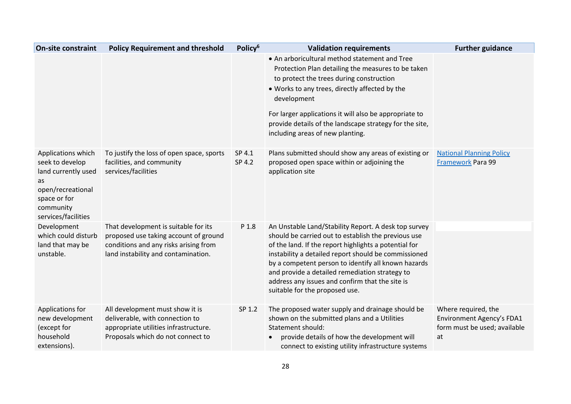| <b>On-site constraint</b>                                                                                                                   | <b>Policy Requirement and threshold</b>                                                                                                                       | Policy <sup>6</sup> | <b>Validation requirements</b>                                                                                                                                                                                                                                                                                                                                                                                             | <b>Further guidance</b>                                                                |
|---------------------------------------------------------------------------------------------------------------------------------------------|---------------------------------------------------------------------------------------------------------------------------------------------------------------|---------------------|----------------------------------------------------------------------------------------------------------------------------------------------------------------------------------------------------------------------------------------------------------------------------------------------------------------------------------------------------------------------------------------------------------------------------|----------------------------------------------------------------------------------------|
|                                                                                                                                             |                                                                                                                                                               |                     | • An arboricultural method statement and Tree<br>Protection Plan detailing the measures to be taken<br>to protect the trees during construction<br>. Works to any trees, directly affected by the<br>development<br>For larger applications it will also be appropriate to<br>provide details of the landscape strategy for the site,<br>including areas of new planting.                                                  |                                                                                        |
| Applications which<br>seek to develop<br>land currently used<br>as<br>open/recreational<br>space or for<br>community<br>services/facilities | To justify the loss of open space, sports<br>facilities, and community<br>services/facilities                                                                 | SP 4.1<br>SP 4.2    | Plans submitted should show any areas of existing or<br>proposed open space within or adjoining the<br>application site                                                                                                                                                                                                                                                                                                    | <b>National Planning Policy</b><br>Framework Para 99                                   |
| Development<br>which could disturb<br>land that may be<br>unstable.                                                                         | That development is suitable for its<br>proposed use taking account of ground<br>conditions and any risks arising from<br>land instability and contamination. | P 1.8               | An Unstable Land/Stability Report. A desk top survey<br>should be carried out to establish the previous use<br>of the land. If the report highlights a potential for<br>instability a detailed report should be commissioned<br>by a competent person to identify all known hazards<br>and provide a detailed remediation strategy to<br>address any issues and confirm that the site is<br>suitable for the proposed use. |                                                                                        |
| Applications for<br>new development<br>(except for<br>household<br>extensions).                                                             | All development must show it is<br>deliverable, with connection to<br>appropriate utilities infrastructure.<br>Proposals which do not connect to              | SP 1.2              | The proposed water supply and drainage should be<br>shown on the submitted plans and a Utilities<br>Statement should:<br>provide details of how the development will<br>connect to existing utility infrastructure systems                                                                                                                                                                                                 | Where required, the<br>Environment Agency's FDA1<br>form must be used; available<br>at |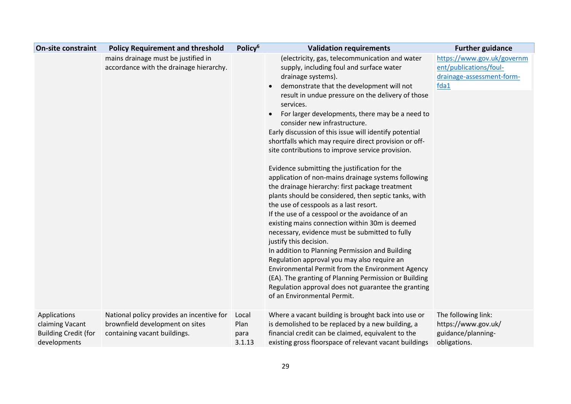| <b>On-site constraint</b>                                                      | <b>Policy Requirement and threshold</b>                                                                      | Policy <sup>6</sup>             | <b>Validation requirements</b>                                                                                                                                                                                                                                                                                                                                                                                                                                                                                                                                                                                                                                                                                                                                                                                                                                                                                                                                                                                                                                                                                                                                                                                                               | <b>Further guidance</b>                                                                   |
|--------------------------------------------------------------------------------|--------------------------------------------------------------------------------------------------------------|---------------------------------|----------------------------------------------------------------------------------------------------------------------------------------------------------------------------------------------------------------------------------------------------------------------------------------------------------------------------------------------------------------------------------------------------------------------------------------------------------------------------------------------------------------------------------------------------------------------------------------------------------------------------------------------------------------------------------------------------------------------------------------------------------------------------------------------------------------------------------------------------------------------------------------------------------------------------------------------------------------------------------------------------------------------------------------------------------------------------------------------------------------------------------------------------------------------------------------------------------------------------------------------|-------------------------------------------------------------------------------------------|
|                                                                                | mains drainage must be justified in<br>accordance with the drainage hierarchy.                               |                                 | (electricity, gas, telecommunication and water<br>supply, including foul and surface water<br>drainage systems).<br>demonstrate that the development will not<br>result in undue pressure on the delivery of those<br>services.<br>For larger developments, there may be a need to<br>consider new infrastructure.<br>Early discussion of this issue will identify potential<br>shortfalls which may require direct provision or off-<br>site contributions to improve service provision.<br>Evidence submitting the justification for the<br>application of non-mains drainage systems following<br>the drainage hierarchy: first package treatment<br>plants should be considered, then septic tanks, with<br>the use of cesspools as a last resort.<br>If the use of a cesspool or the avoidance of an<br>existing mains connection within 30m is deemed<br>necessary, evidence must be submitted to fully<br>justify this decision.<br>In addition to Planning Permission and Building<br>Regulation approval you may also require an<br>Environmental Permit from the Environment Agency<br>(EA). The granting of Planning Permission or Building<br>Regulation approval does not guarantee the granting<br>of an Environmental Permit. | https://www.gov.uk/governm<br>ent/publications/foul-<br>drainage-assessment-form-<br>fda1 |
| Applications<br>claiming Vacant<br><b>Building Credit (for</b><br>developments | National policy provides an incentive for<br>brownfield development on sites<br>containing vacant buildings. | Local<br>Plan<br>para<br>3.1.13 | Where a vacant building is brought back into use or<br>is demolished to be replaced by a new building, a<br>financial credit can be claimed, equivalent to the<br>existing gross floorspace of relevant vacant buildings                                                                                                                                                                                                                                                                                                                                                                                                                                                                                                                                                                                                                                                                                                                                                                                                                                                                                                                                                                                                                     | The following link:<br>https://www.gov.uk/<br>guidance/planning-<br>obligations.          |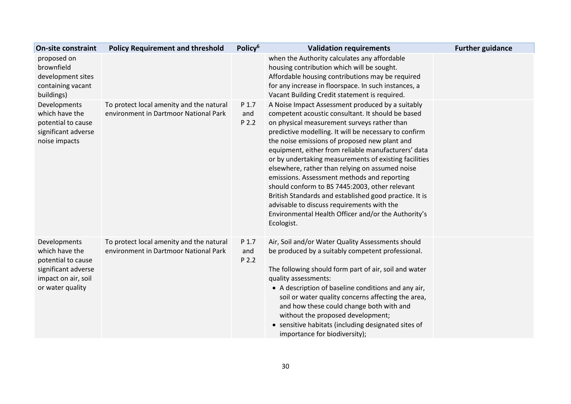| <b>On-site constraint</b>                                                                                              | <b>Policy Requirement and threshold</b>                                           | Policy <sup>6</sup>   | <b>Validation requirements</b>                                                                                                                                                                                                                                                                                                                                                                                                                                                                                                                                                                                                                                                                                  | <b>Further guidance</b> |
|------------------------------------------------------------------------------------------------------------------------|-----------------------------------------------------------------------------------|-----------------------|-----------------------------------------------------------------------------------------------------------------------------------------------------------------------------------------------------------------------------------------------------------------------------------------------------------------------------------------------------------------------------------------------------------------------------------------------------------------------------------------------------------------------------------------------------------------------------------------------------------------------------------------------------------------------------------------------------------------|-------------------------|
| proposed on<br>brownfield<br>development sites<br>containing vacant<br>buildings)                                      |                                                                                   |                       | when the Authority calculates any affordable<br>housing contribution which will be sought.<br>Affordable housing contributions may be required<br>for any increase in floorspace. In such instances, a<br>Vacant Building Credit statement is required.                                                                                                                                                                                                                                                                                                                                                                                                                                                         |                         |
| Developments<br>which have the<br>potential to cause<br>significant adverse<br>noise impacts                           | To protect local amenity and the natural<br>environment in Dartmoor National Park | P 1.7<br>and<br>P 2.2 | A Noise Impact Assessment produced by a suitably<br>competent acoustic consultant. It should be based<br>on physical measurement surveys rather than<br>predictive modelling. It will be necessary to confirm<br>the noise emissions of proposed new plant and<br>equipment, either from reliable manufacturers' data<br>or by undertaking measurements of existing facilities<br>elsewhere, rather than relying on assumed noise<br>emissions. Assessment methods and reporting<br>should conform to BS 7445:2003, other relevant<br>British Standards and established good practice. It is<br>advisable to discuss requirements with the<br>Environmental Health Officer and/or the Authority's<br>Ecologist. |                         |
| Developments<br>which have the<br>potential to cause<br>significant adverse<br>impact on air, soil<br>or water quality | To protect local amenity and the natural<br>environment in Dartmoor National Park | P 1.7<br>and<br>P 2.2 | Air, Soil and/or Water Quality Assessments should<br>be produced by a suitably competent professional.<br>The following should form part of air, soil and water<br>quality assessments:<br>• A description of baseline conditions and any air,<br>soil or water quality concerns affecting the area,<br>and how these could change both with and<br>without the proposed development;<br>• sensitive habitats (including designated sites of<br>importance for biodiversity);                                                                                                                                                                                                                                   |                         |